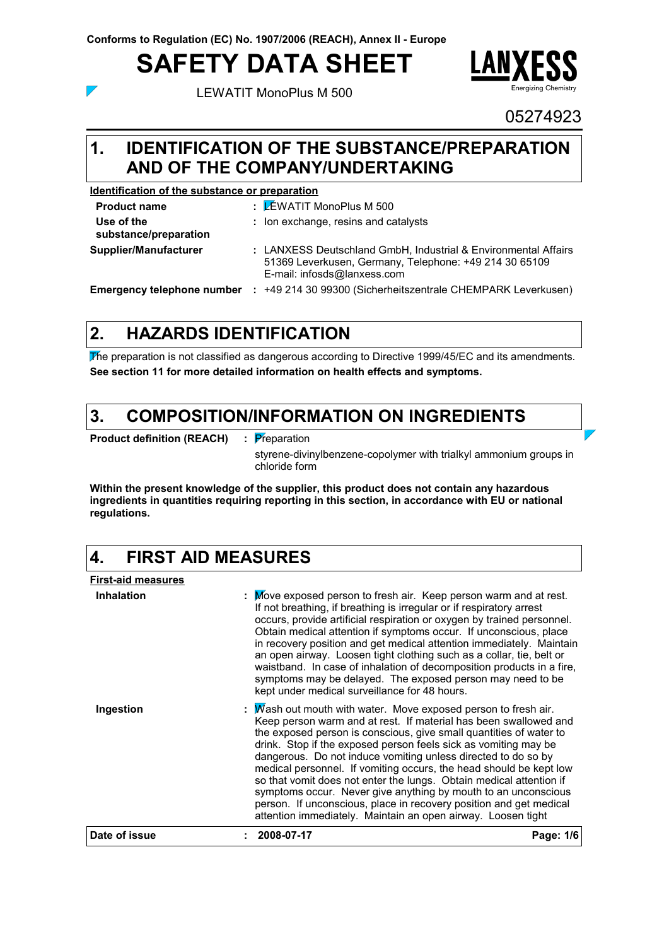# **SAFETY DATA SHEET**

LEWATIT MonoPlus M 500



05274923

Yes.

#### **IDENTIFICATION OF THE SUBSTANCE/PREPARATION 1. AND OF THE COMPANY/UNDERTAKING**

**Identification of the substance or preparation**

: LEWATIT MonoPlus M 500 **Product name Use of the substance/preparation :** Ion exchange, resins and catalysts **Supplier/Manufacturer :** LANXESS Deutschland GmbH, Industrial & Environmental Affairs 51369 Leverkusen, Germany, Telephone: +49 214 30 65109 E-mail: infosds@lanxess.com **Emergency telephone number :** +49 214 30 99300 (Sicherheitszentrale CHEMPARK Leverkusen)

# **HAZARDS IDENTIFICATION 2.**

The preparation is not classified as dangerous according to Directive 1999/45/EC and its amendments. **See section 11 for more detailed information on health effects and symptoms.**

#### **COMPOSITION/INFORMATION ON INGREDIENTS 3.**

**Product definition (REACH) :**

: Preparation

styrene-divinylbenzene-copolymer with trialkyl ammonium groups in chloride form

**Within the present knowledge of the supplier, this product does not contain any hazardous ingredients in quantities requiring reporting in this section, in accordance with EU or national regulations.**

# **4. FIRST AID MEASURES**

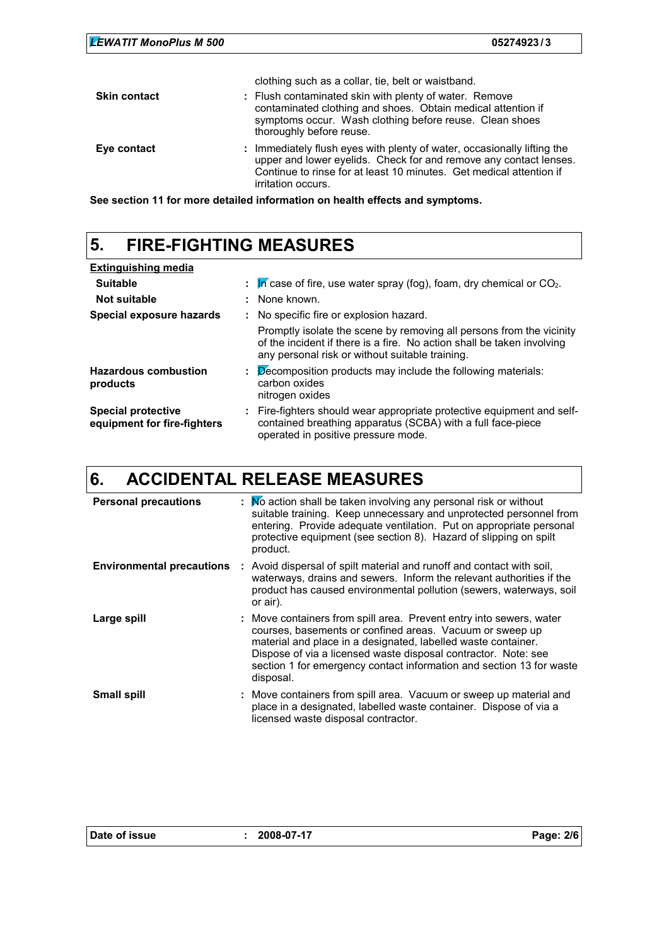| <b>LEWATIT MonoPlus M 500</b> | 05274923/3                                                                                                                                                                                                                                |
|-------------------------------|-------------------------------------------------------------------------------------------------------------------------------------------------------------------------------------------------------------------------------------------|
|                               | clothing such as a collar, tie, belt or waistband.                                                                                                                                                                                        |
| <b>Skin contact</b>           | : Flush contaminated skin with plenty of water. Remove<br>contaminated clothing and shoes. Obtain medical attention if<br>symptoms occur. Wash clothing before reuse. Clean shoes<br>thoroughly before reuse.                             |
| Eye contact                   | : Immediately flush eyes with plenty of water, occasionally lifting the<br>upper and lower eyelids. Check for and remove any contact lenses.<br>Continue to rinse for at least 10 minutes. Get medical attention if<br>irritation occurs. |

**See section 11 for more detailed information on health effects and symptoms.**

# **5. FIRE-FIGHTING MEASURES**

| <b>Extinguishing media</b>                               |   |                                                                                                                                                                                                   |
|----------------------------------------------------------|---|---------------------------------------------------------------------------------------------------------------------------------------------------------------------------------------------------|
| <b>Suitable</b>                                          |   | In case of fire, use water spray (fog), foam, dry chemical or $CO2$ .                                                                                                                             |
| Not suitable                                             |   | : None known.                                                                                                                                                                                     |
| Special exposure hazards                                 |   | : No specific fire or explosion hazard.                                                                                                                                                           |
|                                                          |   | Promptly isolate the scene by removing all persons from the vicinity<br>of the incident if there is a fire. No action shall be taken involving<br>any personal risk or without suitable training. |
| <b>Hazardous combustion</b><br>products                  | ÷ | Decomposition products may include the following materials:<br>carbon oxides<br>nitrogen oxides                                                                                                   |
| <b>Special protective</b><br>equipment for fire-fighters |   | : Fire-fighters should wear appropriate protective equipment and self-<br>contained breathing apparatus (SCBA) with a full face-piece<br>operated in positive pressure mode.                      |

# **6. ACCIDENTAL RELEASE MEASURES**

| <b>Personal precautions</b>      | : No action shall be taken involving any personal risk or without<br>suitable training. Keep unnecessary and unprotected personnel from<br>entering. Provide adequate ventilation. Put on appropriate personal<br>protective equipment (see section 8). Hazard of slipping on spilt<br>product.                                                         |
|----------------------------------|---------------------------------------------------------------------------------------------------------------------------------------------------------------------------------------------------------------------------------------------------------------------------------------------------------------------------------------------------------|
| <b>Environmental precautions</b> | : Avoid dispersal of spilt material and runoff and contact with soil,<br>waterways, drains and sewers. Inform the relevant authorities if the<br>product has caused environmental pollution (sewers, waterways, soil<br>or air).                                                                                                                        |
| Large spill                      | : Move containers from spill area. Prevent entry into sewers, water<br>courses, basements or confined areas. Vacuum or sweep up<br>material and place in a designated, labelled waste container.<br>Dispose of via a licensed waste disposal contractor. Note: see<br>section 1 for emergency contact information and section 13 for waste<br>disposal. |
| <b>Small spill</b>               | : Move containers from spill area. Vacuum or sweep up material and<br>place in a designated, labelled waste container. Dispose of via a<br>licensed waste disposal contractor.                                                                                                                                                                          |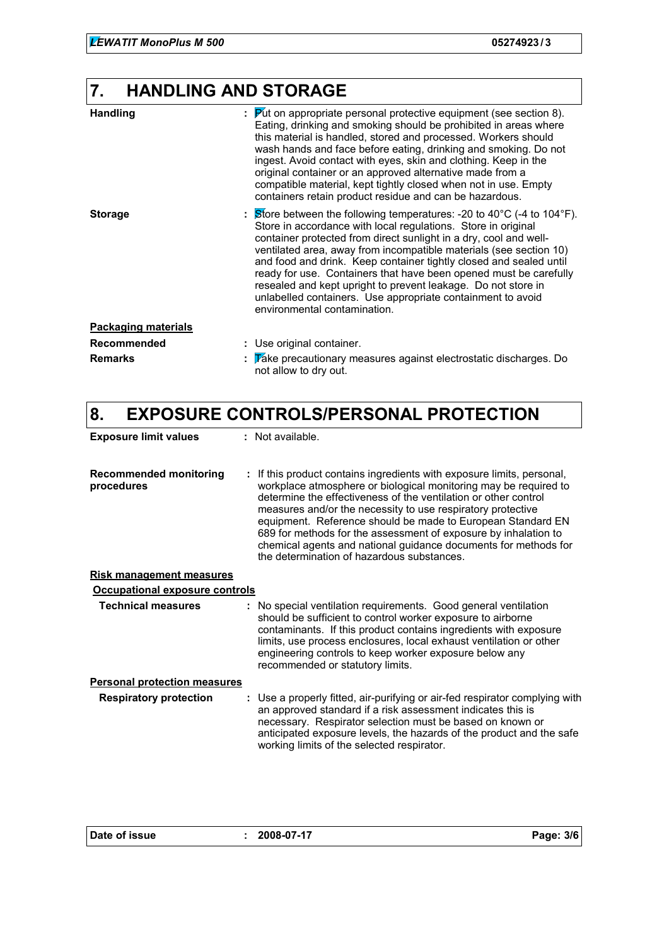### **7. HANDLING AND STORAGE**

| <b>Handling</b>            | $\overline{P}$ ut on appropriate personal protective equipment (see section 8).<br>÷<br>Eating, drinking and smoking should be prohibited in areas where<br>this material is handled, stored and processed. Workers should<br>wash hands and face before eating, drinking and smoking. Do not<br>ingest. Avoid contact with eyes, skin and clothing. Keep in the<br>original container or an approved alternative made from a<br>compatible material, kept tightly closed when not in use. Empty<br>containers retain product residue and can be hazardous.                                              |
|----------------------------|----------------------------------------------------------------------------------------------------------------------------------------------------------------------------------------------------------------------------------------------------------------------------------------------------------------------------------------------------------------------------------------------------------------------------------------------------------------------------------------------------------------------------------------------------------------------------------------------------------|
| <b>Storage</b>             | $\therefore$ Store between the following temperatures: -20 to 40°C (-4 to 104°F).<br>Store in accordance with local regulations. Store in original<br>container protected from direct sunlight in a dry, cool and well-<br>ventilated area, away from incompatible materials (see section 10)<br>and food and drink. Keep container tightly closed and sealed until<br>ready for use. Containers that have been opened must be carefully<br>resealed and kept upright to prevent leakage. Do not store in<br>unlabelled containers. Use appropriate containment to avoid<br>environmental contamination. |
| <b>Packaging materials</b> |                                                                                                                                                                                                                                                                                                                                                                                                                                                                                                                                                                                                          |
| <b>Recommended</b>         | : Use original container.                                                                                                                                                                                                                                                                                                                                                                                                                                                                                                                                                                                |
| <b>Remarks</b>             | Take precautionary measures against electrostatic discharges. Do<br>÷<br>not allow to dry out.                                                                                                                                                                                                                                                                                                                                                                                                                                                                                                           |

### **8. EXPOSURE CONTROLS/PERSONAL PROTECTION**

| <b>Exposure limit values</b>                |  | $:$ Not available.                                                                                                                                                                                                                                                                                                                                                                                                                                                                                                              |  |
|---------------------------------------------|--|---------------------------------------------------------------------------------------------------------------------------------------------------------------------------------------------------------------------------------------------------------------------------------------------------------------------------------------------------------------------------------------------------------------------------------------------------------------------------------------------------------------------------------|--|
| <b>Recommended monitoring</b><br>procedures |  | : If this product contains ingredients with exposure limits, personal,<br>workplace atmosphere or biological monitoring may be required to<br>determine the effectiveness of the ventilation or other control<br>measures and/or the necessity to use respiratory protective<br>equipment. Reference should be made to European Standard EN<br>689 for methods for the assessment of exposure by inhalation to<br>chemical agents and national guidance documents for methods for<br>the determination of hazardous substances. |  |
| <b>Risk management measures</b>             |  |                                                                                                                                                                                                                                                                                                                                                                                                                                                                                                                                 |  |
| Occupational exposure controls              |  |                                                                                                                                                                                                                                                                                                                                                                                                                                                                                                                                 |  |
| <b>Technical measures</b>                   |  | : No special ventilation requirements. Good general ventilation<br>should be sufficient to control worker exposure to airborne<br>contaminants. If this product contains ingredients with exposure<br>limits, use process enclosures, local exhaust ventilation or other<br>engineering controls to keep worker exposure below any<br>recommended or statutory limits.                                                                                                                                                          |  |
| <b>Personal protection measures</b>         |  |                                                                                                                                                                                                                                                                                                                                                                                                                                                                                                                                 |  |
| <b>Respiratory protection</b>               |  | : Use a properly fitted, air-purifying or air-fed respirator complying with<br>an approved standard if a risk assessment indicates this is<br>necessary. Respirator selection must be based on known or<br>anticipated exposure levels, the hazards of the product and the safe<br>working limits of the selected respirator.                                                                                                                                                                                                   |  |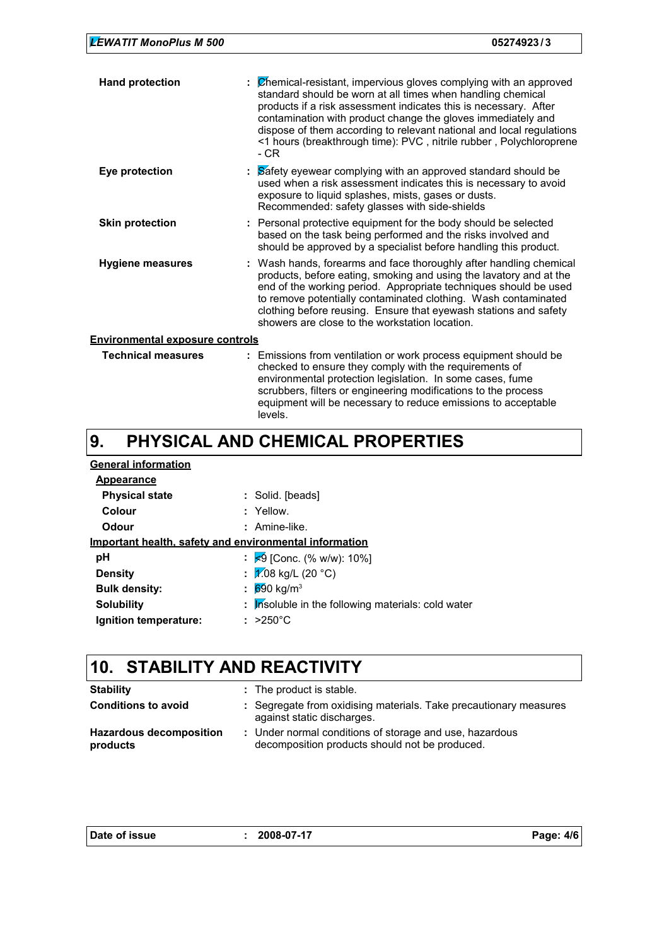| <b>LEWATIT MonoPlus M 500</b> | 05274923/3 |
|-------------------------------|------------|
|                               |            |

| <b>Hand protection</b>                 | $\mathcal{L}$ Chemical-resistant, impervious gloves complying with an approved<br>standard should be worn at all times when handling chemical<br>products if a risk assessment indicates this is necessary. After<br>contamination with product change the gloves immediately and<br>dispose of them according to relevant national and local regulations<br><1 hours (breakthrough time): PVC, nitrile rubber, Polychloroprene<br>- CR |  |
|----------------------------------------|-----------------------------------------------------------------------------------------------------------------------------------------------------------------------------------------------------------------------------------------------------------------------------------------------------------------------------------------------------------------------------------------------------------------------------------------|--|
| Eye protection                         | : Safety eyewear complying with an approved standard should be<br>used when a risk assessment indicates this is necessary to avoid<br>exposure to liquid splashes, mists, gases or dusts.<br>Recommended: safety glasses with side-shields                                                                                                                                                                                              |  |
| <b>Skin protection</b>                 | : Personal protective equipment for the body should be selected<br>based on the task being performed and the risks involved and<br>should be approved by a specialist before handling this product.                                                                                                                                                                                                                                     |  |
| <b>Hygiene measures</b>                | : Wash hands, forearms and face thoroughly after handling chemical<br>products, before eating, smoking and using the lavatory and at the<br>end of the working period. Appropriate techniques should be used<br>to remove potentially contaminated clothing. Wash contaminated<br>clothing before reusing. Ensure that eyewash stations and safety<br>showers are close to the workstation location.                                    |  |
| <b>Environmental exposure controls</b> |                                                                                                                                                                                                                                                                                                                                                                                                                                         |  |
| <b>Technical measures</b>              | : Emissions from ventilation or work process equipment should be                                                                                                                                                                                                                                                                                                                                                                        |  |

#### checked to ensure they comply with the requirements of environmental protection legislation. In some cases, fume scrubbers, filters or engineering modifications to the process equipment will be necessary to reduce emissions to acceptable levels.

#### **PHYSICAL AND CHEMICAL PROPERTIES 9.**

| : Solid. [beads]                                              |
|---------------------------------------------------------------|
| $:$ Yellow.                                                   |
| : Amine-like.                                                 |
| <u>Important health, safety and environmental information</u> |
| : $\approx$ 9 [Conc. (% w/w): 10%]                            |
| : $\sqrt{2.08 \text{ kg/L}}$ (20 °C)                          |
| $690 \text{ kg/m}^3$<br>÷.                                    |
| : Insoluble in the following materials: cold water            |
| $>250^{\circ}$ C                                              |
|                                                               |

# **10. STABILITY AND REACTIVITY**

| <b>Stability</b>                           | : The product is stable.                                                                                  |
|--------------------------------------------|-----------------------------------------------------------------------------------------------------------|
| <b>Conditions to avoid</b>                 | : Segregate from oxidising materials. Take precautionary measures<br>against static discharges.           |
| <b>Hazardous decomposition</b><br>products | : Under normal conditions of storage and use, hazardous<br>decomposition products should not be produced. |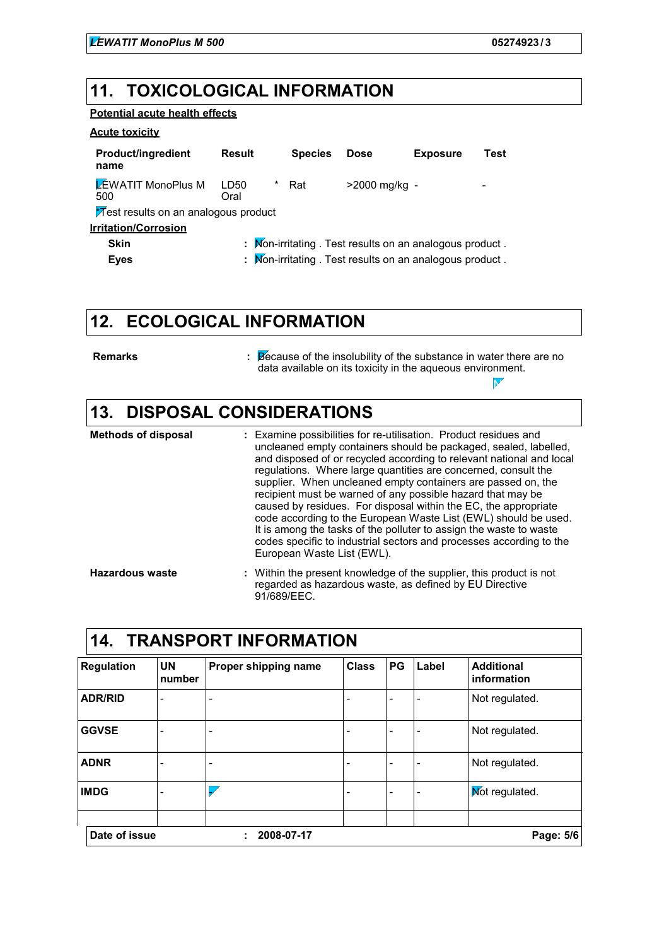Not available.

#### **11. TOXICOLOGICAL INFORMATION**

#### **Potential acute health effects**

#### **Acute toxicity**

| <b>Product/ingredient</b><br>name           | <b>Result</b>                                            | <b>Species</b> | <b>Dose</b>   | <b>Exposure</b> | Test |
|---------------------------------------------|----------------------------------------------------------|----------------|---------------|-----------------|------|
| <b>EWATIT MonoPlus M</b><br>500             | *<br>LD50<br>Oral                                        | Rat            | >2000 mg/kg - |                 | ٠    |
| <b>Mest results on an analogous product</b> |                                                          |                |               |                 |      |
| <b>Irritation/Corrosion</b>                 |                                                          |                |               |                 |      |
| <b>Skin</b>                                 | : Mon-irritating . Test results on an analogous product. |                |               |                 |      |
| <b>Eyes</b>                                 | : Mon-irritating . Test results on an analogous product. |                |               |                 |      |

### **12. ECOLOGICAL INFORMATION**

**Remarks :**

Because of the insolubility of the substance in water there are no data available on its toxicity in the aqueous environment.

### **13. DISPOSAL CONSIDERATIONS**

| <b>Methods of disposal</b> | : Examine possibilities for re-utilisation. Product residues and<br>uncleaned empty containers should be packaged, sealed, labelled,<br>and disposed of or recycled according to relevant national and local<br>regulations. Where large quantities are concerned, consult the<br>supplier. When uncleaned empty containers are passed on, the<br>recipient must be warned of any possible hazard that may be<br>caused by residues. For disposal within the EC, the appropriate<br>code according to the European Waste List (EWL) should be used.<br>It is among the tasks of the polluter to assign the waste to waste<br>codes specific to industrial sectors and processes according to the<br>European Waste List (EWL). |
|----------------------------|--------------------------------------------------------------------------------------------------------------------------------------------------------------------------------------------------------------------------------------------------------------------------------------------------------------------------------------------------------------------------------------------------------------------------------------------------------------------------------------------------------------------------------------------------------------------------------------------------------------------------------------------------------------------------------------------------------------------------------|
| <b>Hazardous waste</b>     | : Within the present knowledge of the supplier, this product is not<br>regarded as hazardous waste, as defined by EU Directive<br>91/689/EEC.                                                                                                                                                                                                                                                                                                                                                                                                                                                                                                                                                                                  |

| <b>TRANSPORT INFORMATION</b><br>.14. |                     |                          |              |           |       |                                  |
|--------------------------------------|---------------------|--------------------------|--------------|-----------|-------|----------------------------------|
| <b>Regulation</b>                    | <b>UN</b><br>number | Proper shipping name     | <b>Class</b> | PG        | Label | <b>Additional</b><br>information |
| <b>ADR/RID</b>                       | ۰                   |                          |              |           | ۰     | Not regulated.                   |
| <b>GGVSE</b>                         | -                   | $\overline{\phantom{a}}$ |              |           | -     | Not regulated.                   |
| <b>ADNR</b>                          | ۰                   | $\overline{\phantom{a}}$ |              |           | -     | Not regulated.                   |
| <b>IMDG</b>                          | ۰                   |                          |              |           | ۰     | Mot regulated.                   |
| Date of issue<br>2008-07-17          |                     |                          |              | Page: 5/6 |       |                                  |